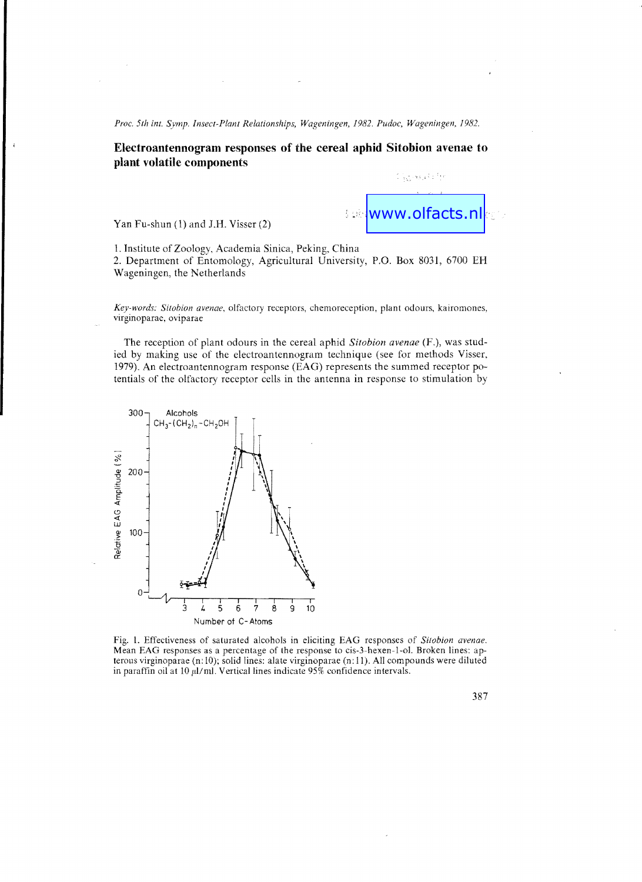Proc. 5th int. Symp. Insect-Plant Relationships, Wageningen, 1982. Pudoc, Wageningen, 1982.

## **Electroantennogram responses of the cereal aphid Sitobion avenae to plant volatile components**

Yan Fu-shun (1) and J.H. Visser (2)



S Ggyssisti fr

1. Institute of Zoology. Academia Sinica, Peking, China

2. Department of Entomology, Agricultural University, P.O. Box 8031, 6700 EH Wageningen, the Netherlands

*Key-words: Sitobion avenae,* olfactory receptors, chemoreception, plant odours, kairomones, virginoparae, oviparae

The reception of plant odours in the cereal aphid *Sitobion avenae* (F.), was studied by making use of the electroantennogram technique (see for methods Visser, 1979). An electroantennogram response (EAG) represents the summed receptor potentials of the olfactory receptor cells in the antenna in response to stimulation by



Fig. 1. Effectiveness of saturated alcohols in eliciting EAG responses of *Sitobion avenae.*  Mean EAG responses as a percentage of the response to cis-3-hexen-I-ol. Broken lines: apterous virginoparae (n: 10); solid lines: alate virginoparae (n: 11). All compounds were diluted in paraffin oil at 10  $\mu$ l/ml. Vertical lines indicate 95% confidence intervals.

387